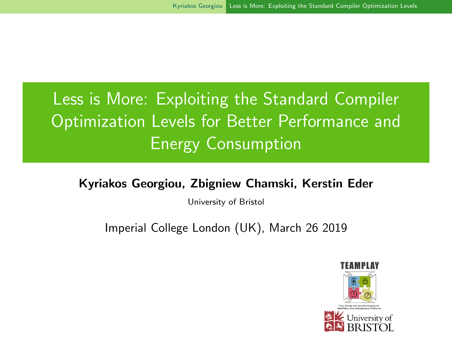# <span id="page-0-0"></span>Less is More: Exploiting the Standard Compiler Optimization Levels for Better Performance and Energy Consumption

#### Kyriakos Georgiou, Zbigniew Chamski, Kerstin Eder

University of Bristol

Imperial College London (UK), March 26 2019

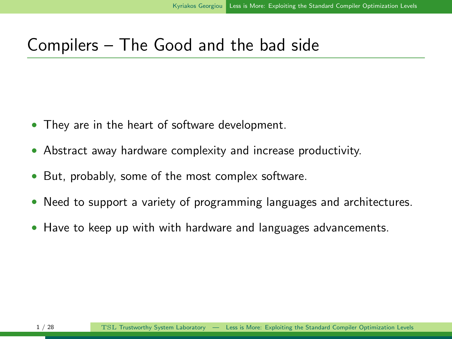#### Compilers – The Good and the bad side

- They are in the heart of software development.
- Abstract away hardware complexity and increase productivity.
- But, probably, some of the most complex software.
- Need to support a variety of programming languages and architectures.
- Have to keep up with with hardware and languages advancements.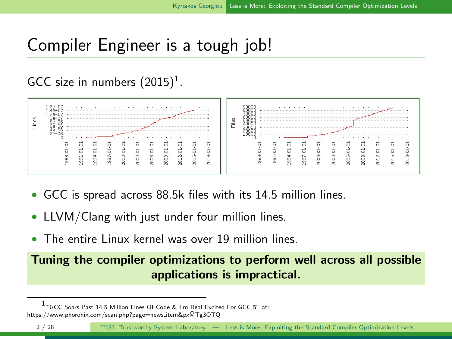## Compiler Engineer is a tough job!

#### GCC size in numbers  $(2015)^1$ .



- GCC is spread across 88.5k files with its 14.5 million lines.
- LLVM/Clang with just under four million lines.
- The entire Linux kernel was over 19 million lines.

Tuning the compiler optimizations to perform well across all possible applications is impractical.

<sup>1</sup> "GCC Soars Past 14.5 Million Lines Of Code & I'm Real Excited For GCC 5" at: https://www.phoronix.com/scan.php?page=news item&pxMTg3OTQ ¯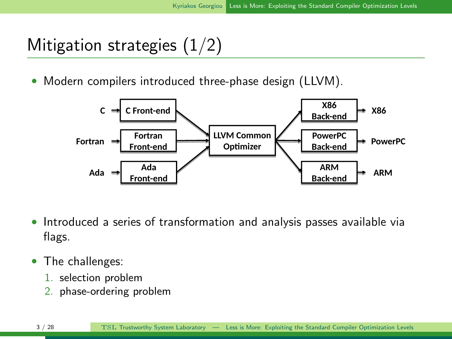## Mitigation strategies  $(1/2)$

• Modern compilers introduced three-phase design (LLVM).



- Introduced a series of transformation and analysis passes available via flags.
- The challenges:
	- 1. selection problem
	- 2. phase-ordering problem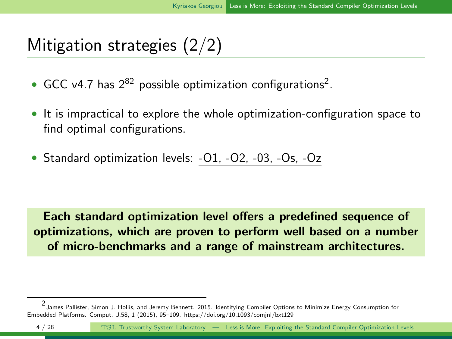## Mitigation strategies (2/2)

- GCC v4.7 has  $2^{82}$  possible optimization configurations<sup>2</sup>.
- It is impractical to explore the whole optimization-configuration space to find optimal configurations.
- Standard optimization levels: -O1, -O2, -03, -Os, -Oz

Each standard optimization level offers a predefined sequence of optimizations, which are proven to perform well based on a number of micro-benchmarks and a range of mainstream architectures.

<sup>2</sup> James Pallister, Simon J. Hollis, and Jeremy Bennett. 2015. Identifying Compiler Options to Minimize Energy Consumption for Embedded Platforms. Comput. J.58, 1 (2015), 95–109. https://doi.org/10.1093/comjnl/bxt129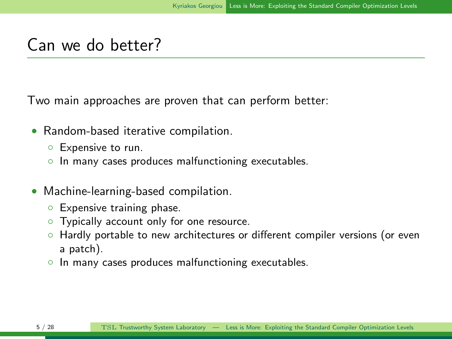#### Can we do better?

Two main approaches are proven that can perform better:

- Random-based iterative compilation.
	- Expensive to run.
	- In many cases produces malfunctioning executables.
- Machine-learning-based compilation.
	- Expensive training phase.
	- Typically account only for one resource.
	- Hardly portable to new architectures or different compiler versions (or even a patch).
	- In many cases produces malfunctioning executables.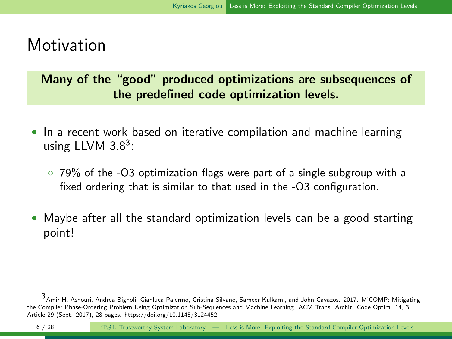#### **Motivation**

Many of the "good" produced optimizations are subsequences of the predefined code optimization levels.

- In a recent work based on iterative compilation and machine learning using LLVM  $3.8<sup>3</sup>$ :
	- 79% of the -O3 optimization flags were part of a single subgroup with a fixed ordering that is similar to that used in the -O3 configuration.
- Maybe after all the standard optimization levels can be a good starting point!

<sup>3</sup> Amir H. Ashouri, Andrea Bignoli, Gianluca Palermo, Cristina Silvano, Sameer Kulkarni, and John Cavazos. 2017. MiCOMP: Mitigating the Compiler Phase-Ordering Problem Using Optimization Sub-Sequences and Machine Learning. ACM Trans. Archit. Code Optim. 14, 3, Article 29 (Sept. 2017), 28 pages. https://doi.org/10.1145/3124452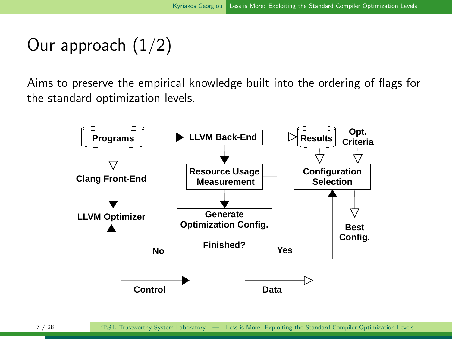## Our approach  $(1/2)$

Aims to preserve the empirical knowledge built into the ordering of flags for the standard optimization levels.

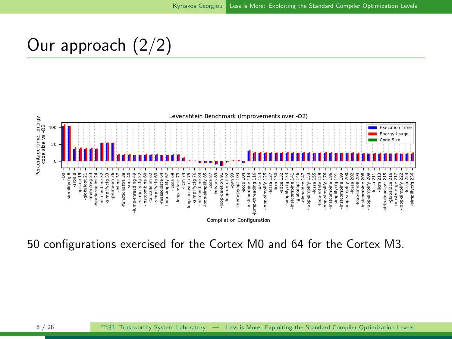## Our approach (2/2)



50 configurations exercised for the Cortex M0 and 64 for the Cortex M3.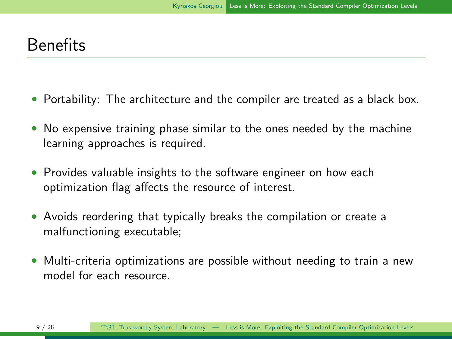#### Benefits

- Portability: The architecture and the compiler are treated as a black box.
- No expensive training phase similar to the ones needed by the machine learning approaches is required.
- Provides valuable insights to the software engineer on how each optimization flag affects the resource of interest.
- Avoids reordering that typically breaks the compilation or create a malfunctioning executable;
- Multi-criteria optimizations are possible without needing to train a new model for each resource.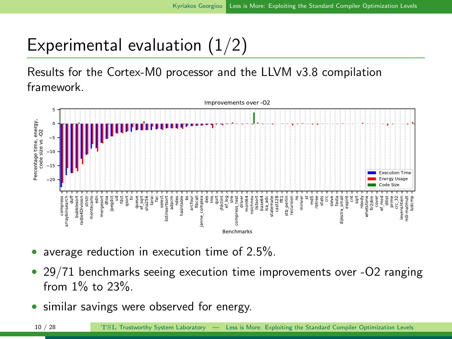## Experimental evaluation (1/2)

Results for the Cortex-M0 processor and the LLVM v3.8 compilation framework.



- average reduction in execution time of 2.5%.
- 29/71 benchmarks seeing execution time improvements over -O2 ranging from 1% to 23%.
- similar savings were observed for energy.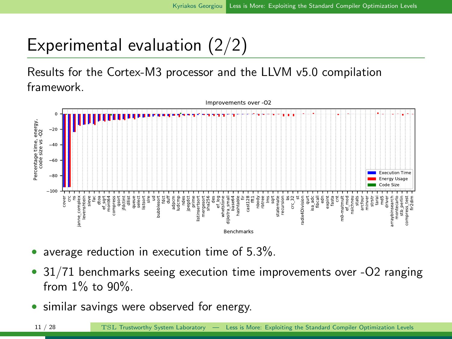## Experimental evaluation (2/2)

Results for the Cortex-M3 processor and the LLVM v5.0 compilation framework.



- average reduction in execution time of 5.3%.
- 31/71 benchmarks seeing execution time improvements over -O2 ranging from 1% to 90%.
- similar savings were observed for energy.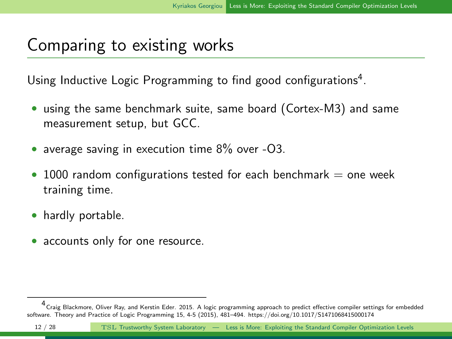#### Comparing to existing works

Using Inductive Logic Programming to find good configurations<sup>4</sup>.

- using the same benchmark suite, same board (Cortex-M3) and same measurement setup, but GCC.
- average saving in execution time 8% over -O3.
- $\bullet$  1000 random configurations tested for each benchmark  $=$  one week training time.
- hardly portable.
- accounts only for one resource.

<sup>4</sup> Craig Blackmore, Oliver Ray, and Kerstin Eder. 2015. A logic programming approach to predict effective compiler settings for embedded software. Theory and Practice of Logic Programming 15, 4-5 (2015), 481–494. https://doi.org/10.1017/S1471068415000174

<sup>12 / 28</sup> TSL Trustworthy System Laboratory — Less is More: Exploiting the Standard Compiler Optimization Levels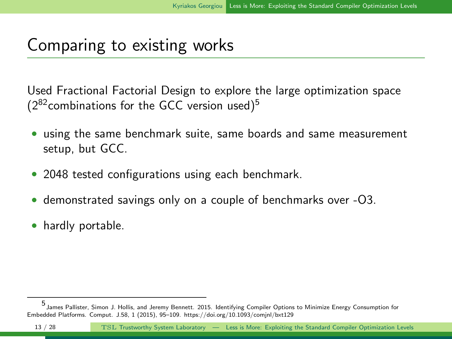#### Comparing to existing works

Used Fractional Factorial Design to explore the large optimization space  $(2^{82}$ combinations for the GCC version used)<sup>5</sup>

- using the same benchmark suite, same boards and same measurement setup, but GCC.
- 2048 tested configurations using each benchmark.
- demonstrated savings only on a couple of benchmarks over -O3.
- hardly portable.

<sup>5</sup> James Pallister, Simon J. Hollis, and Jeremy Bennett. 2015. Identifying Compiler Options to Minimize Energy Consumption for Embedded Platforms. Comput. J.58, 1 (2015), 95–109. https://doi.org/10.1093/comjnl/bxt129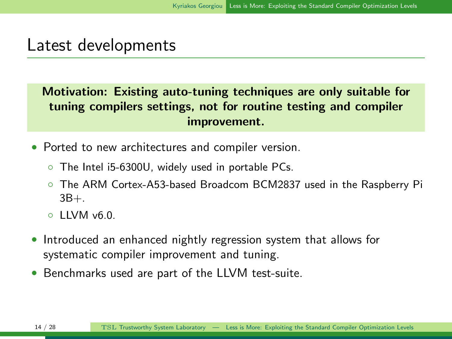#### Latest developments

Motivation: Existing auto-tuning techniques are only suitable for tuning compilers settings, not for routine testing and compiler improvement.

- Ported to new architectures and compiler version.
	- The Intel i5-6300U, widely used in portable PCs.
	- The ARM Cortex-A53-based Broadcom BCM2837 used in the Raspberry Pi  $3B+$
	- $\circ$  LIVM  $\vee$ 6.0.
- Introduced an enhanced nightly regression system that allows for systematic compiler improvement and tuning.
- Benchmarks used are part of the LLVM test-suite.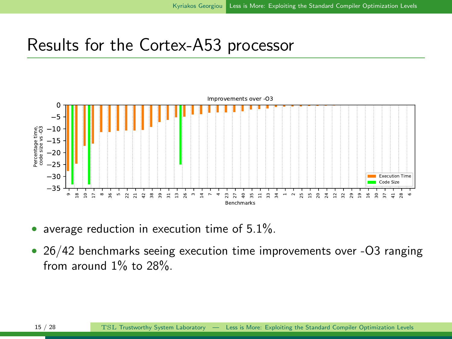#### Results for the Cortex-A53 processor



- average reduction in execution time of  $5.1\%$ .
- 26/42 benchmarks seeing execution time improvements over -O3 ranging from around 1% to 28%.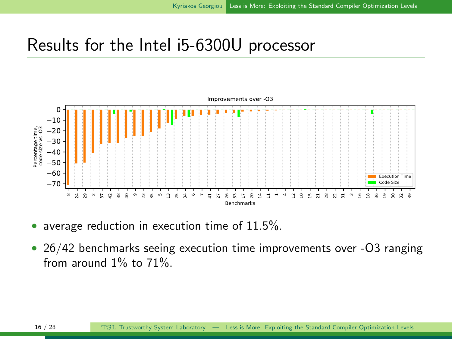#### Results for the Intel i5-6300U processor



- average reduction in execution time of  $11.5\%$ .
- 26/42 benchmarks seeing execution time improvements over -O3 ranging from around 1% to 71%.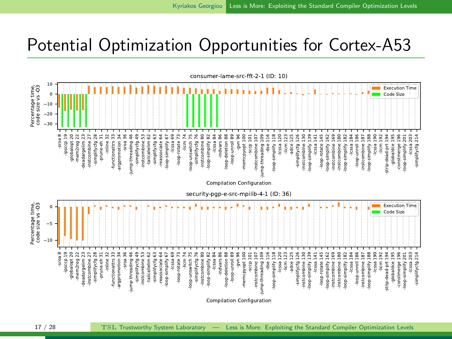#### Potential Optimization Opportunities for Cortex-A53



17 / 28 TSL Trustworthy System Laboratory — Less is More: Exploiting the Standard Compiler Optimization Levels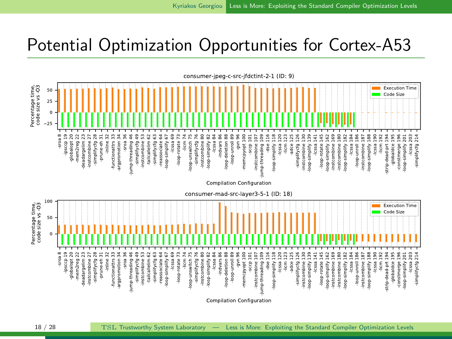## Potential Optimization Opportunities for Cortex-A53

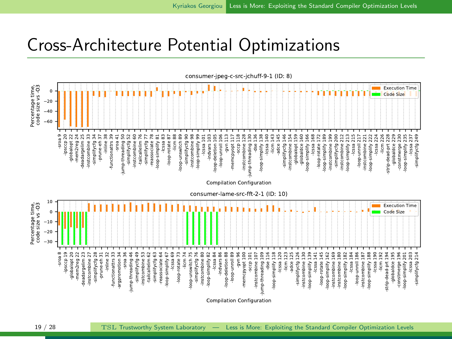#### Cross-Architecture Potential Optimizations

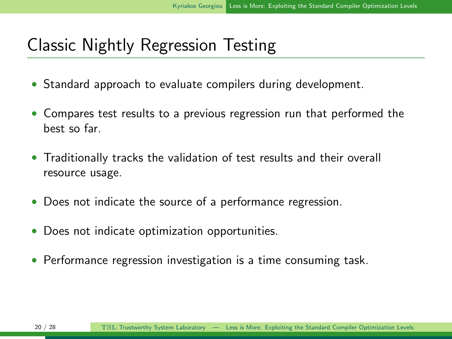#### Classic Nightly Regression Testing

- Standard approach to evaluate compilers during development.
- Compares test results to a previous regression run that performed the best so far.
- Traditionally tracks the validation of test results and their overall resource usage.
- Does not indicate the source of a performance regression.
- Does not indicate optimization opportunities.
- Performance regression investigation is a time consuming task.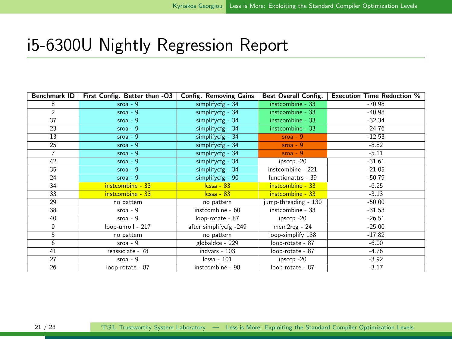#### i5-6300U Nightly Regression Report

| <b>Benchmark ID</b>      | First Config. Better than -03 | <b>Config. Removing Gains</b> | <b>Best Overall Config.</b> | <b>Execution Time Reduction %</b> |
|--------------------------|-------------------------------|-------------------------------|-----------------------------|-----------------------------------|
| 8                        | $s$ roa - $9$                 | simplifycfg - 34              | instcombine - 33            | $-70.98$                          |
| $\overline{\phantom{a}}$ | $s$ roa - $9$                 | simplifycfg - 34              | instcombine - 33            | $-40.98$                          |
| 37                       | $s$ roa - $9$                 | simplifycfg - 34              | instcombine - 33            | $-32.34$                          |
| 23                       | $s$ roa - $9$                 | simplifycfg - 34              | instcombine - 33            | $-24.76$                          |
| 13                       | $s$ roa - $9$                 | simplifycfg - 34              | $s$ roa - $9$               | $-12.53$                          |
| 25                       | $s$ roa - $9$                 | simplifycfg - 34              | $s$ roa - $9$               | $-8.82$                           |
| $\overline{7}$           | $s$ roa - $9$                 | simplifycfg - 34              | $s$ roa - $9$               | $-5.11$                           |
| 42                       | $s$ roa - $9$                 | simplifycfg - 34              | ipsccp-20                   | $-31.61$                          |
| 35                       | $s$ roa - $9$                 | simplifycfg - 34              | instcombine - 221           | $-21.05$                          |
| 24                       | $s$ roa - $9$                 | simplifycfg - 90              | functionattrs - 39          | $-50.79$                          |
| 34                       | instcombine - 33              | $lessa - 83$                  | instcombine - 33            | $-6.25$                           |
| 33                       | instcombine - 33              | $lessa - 83$                  | instcombine - 33            | $-3.13$                           |
| 29                       | no pattern                    | no pattern                    | jump-threading - 130        | $-50.00$                          |
| 38                       | $s$ roa - $9$                 | instcombine - 60              | instcombine - 33            | $-31.53$                          |
| 40                       | $s$ roa - $9$                 | loop-rotate - 87              | ipsccp-20                   | $-26.51$                          |
| $\overline{q}$           | loop-unroll - 217             | after simplifycfg -249        | mem2reg - 24                | $-25.00$                          |
| 5                        | no pattern                    | no pattern                    | loop-simplify 138           | $-17.82$                          |
| $6\overline{6}$          | $s$ roa - $9$                 | globaldce - 229               | loop-rotate - 87            | $-6.00$                           |
| 41                       | reassiciate - 78              | indvars - 103                 | loop-rotate - 87            | $-4.76$                           |
| 27                       | $s$ roa - $9$                 | $cssa - 101$                  | ipsccp-20                   | $-3.92$                           |
| 26                       | loop-rotate - 87              | instcombine - 98              | loop-rotate - 87            | $-3.17$                           |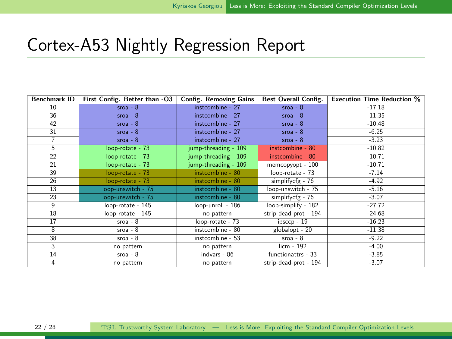#### Cortex-A53 Nightly Regression Report

| Benchmark ID     | First Config. Better than -03 | <b>Config. Removing Gains</b> | <b>Best Overall Config.</b> | <b>Execution Time Reduction %</b> |
|------------------|-------------------------------|-------------------------------|-----------------------------|-----------------------------------|
| 10 <sup>10</sup> | $s$ roa - $8$                 | instcombine - 27              | $s$ roa - $8$               | $-17.18$                          |
| 36               | $s$ roa - $8$                 | instcombine - 27              | $s$ roa - $8$               | $-11.35$                          |
| 42               | $s$ roa - $8$                 | instcombine - 27              | $s$ roa - $8$               | $-10.48$                          |
| 31               | $s$ roa - $8$                 | instcombine - 27              | $s$ roa - $8$               | $-6.25$                           |
| $\overline{7}$   | $s$ roa - $8$                 | instcombine - 27              | $s$ roa - $8$               | $-3.23$                           |
| $\overline{5}$   | loop-rotate - 73              | jump-threading - 109          | instcombine - 80            | $-10.82$                          |
| 22               | loop-rotate - 73              | jump-threading - 109          | instcombine - 80            | $-10.71$                          |
| 21               | loop-rotate - 73              | jump-threading - 109          | memcopyopt - 100            | $-10.71$                          |
| 39               | loop-rotate - 73              | instcombine - 80              | loop-rotate - 73            | $-7.14$                           |
| 26               | loop-rotate - 73              | instcombine - 80              | simplifycfg - 76            | $-4.92$                           |
| 13               | loop-unswitch - 75            | instcombine - 80              | loop-unswitch - 75          | $-5.16$                           |
| 23               | loop-unswitch - 75            | instcombine - 80              | simplifycfg - 76            | $-3.07$                           |
| $\overline{q}$   | loop-rotate - 145             | loop-unroll - 186             | loop-simplify - 182         | $-27.72$                          |
| 18               | loop-rotate - 145             | no pattern                    | strip-dead-prot - 194       | $-24.68$                          |
| 17               | $s$ roa - $8$                 | loop-rotate - 73              | $ipsccp - 19$               | $-16.23$                          |
| $\overline{8}$   | $s$ roa - $8$                 | instcombine - 80              | globalopt - 20              | $-11.38$                          |
| 38               | $s$ roa - $8$                 | instcombine - 53              | $s$ roa - $8$               | $-9.22$                           |
| 3                | no pattern                    | no pattern                    | $l$ icm - 192               | $-4.00$                           |
| 14               | $s$ roa - $8$                 | $indvars - 86$                | functionattrs - 33          | $-3.85$                           |
| 4                | no pattern                    | no pattern                    | strip-dead-prot - 194       | $-3.07$                           |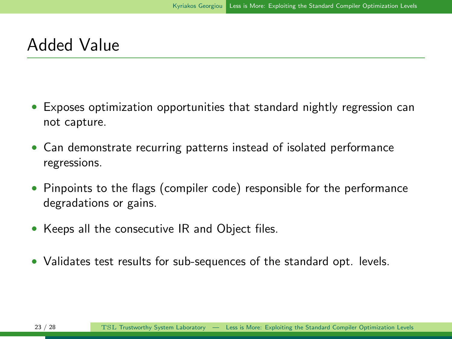#### Added Value

- Exposes optimization opportunities that standard nightly regression can not capture.
- Can demonstrate recurring patterns instead of isolated performance regressions.
- Pinpoints to the flags (compiler code) responsible for the performance degradations or gains.
- Keeps all the consecutive IR and Object files.
- Validates test results for sub-sequences of the standard opt. levels.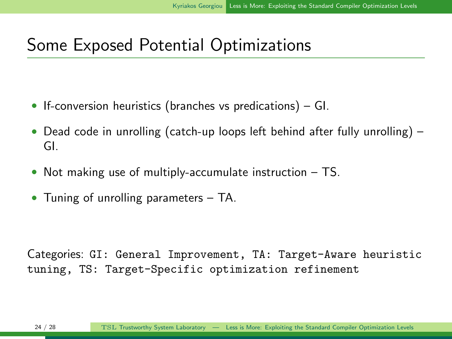## Some Exposed Potential Optimizations

- If-conversion heuristics (branches vs predications) GI.
- Dead code in unrolling (catch-up loops left behind after fully unrolling) GI.
- Not making use of multiply-accumulate instruction TS.
- Tuning of unrolling parameters TA.

Categories: GI: General Improvement, TA: Target-Aware heuristic tuning, TS: Target-Specific optimization refinement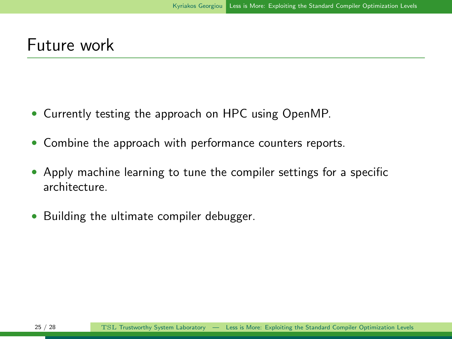#### Future work

- Currently testing the approach on HPC using OpenMP.
- Combine the approach with performance counters reports.
- Apply machine learning to tune the compiler settings for a specific architecture.
- Building the ultimate compiler debugger.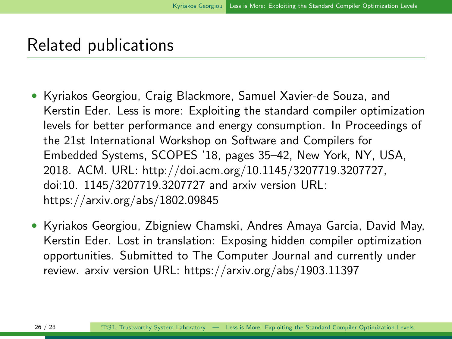#### Related publications

- Kyriakos Georgiou, Craig Blackmore, Samuel Xavier-de Souza, and Kerstin Eder. Less is more: Exploiting the standard compiler optimization levels for better performance and energy consumption. In Proceedings of the 21st International Workshop on Software and Compilers for Embedded Systems, SCOPES '18, pages 35–42, New York, NY, USA, 2018. ACM. URL: http://doi.acm.org/10.1145/3207719.3207727, doi:10. 1145/3207719.3207727 and arxiv version URL: https://arxiv.org/abs/1802.09845
- Kyriakos Georgiou, Zbigniew Chamski, Andres Amaya Garcia, David May, Kerstin Eder. Lost in translation: Exposing hidden compiler optimization opportunities. Submitted to The Computer Journal and currently under review. arxiv version URL: https://arxiv.org/abs/1903.11397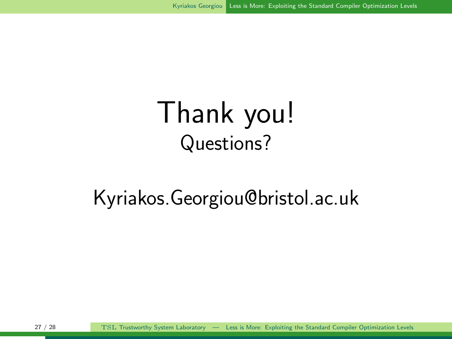# Thank you! Questions?

# Kyriakos.Georgiou@bristol.ac.uk